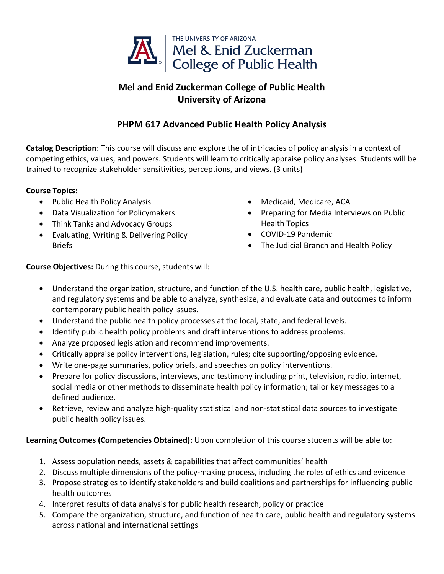

## **Mel and Enid Zuckerman College of Public Health University of Arizona**

## **PHPM 617 Advanced Public Health Policy Analysis**

**Catalog Description**: This course will discuss and explore the of intricacies of policy analysis in a context of competing ethics, values, and powers. Students will learn to critically appraise policy analyses. Students will be trained to recognize stakeholder sensitivities, perceptions, and views. (3 units)

## **Course Topics:**

- Public Health Policy Analysis
- Data Visualization for Policymakers
- Think Tanks and Advocacy Groups
- Evaluating, Writing & Delivering Policy Briefs
- Medicaid, Medicare, ACA
- Preparing for Media Interviews on Public Health Topics
- COVID-19 Pandemic
- The Judicial Branch and Health Policy

**Course Objectives:** During this course, students will:

- Understand the organization, structure, and function of the U.S. health care, public health, legislative, and regulatory systems and be able to analyze, synthesize, and evaluate data and outcomes to inform contemporary public health policy issues.
- Understand the public health policy processes at the local, state, and federal levels.
- Identify public health policy problems and draft interventions to address problems.
- Analyze proposed legislation and recommend improvements.
- Critically appraise policy interventions, legislation, rules; cite supporting/opposing evidence.
- Write one-page summaries, policy briefs, and speeches on policy interventions.
- Prepare for policy discussions, interviews, and testimony including print, television, radio, internet, social media or other methods to disseminate health policy information; tailor key messages to a defined audience.
- Retrieve, review and analyze high-quality statistical and non-statistical data sources to investigate public health policy issues.

## **Learning Outcomes (Competencies Obtained):** Upon completion of this course students will be able to:

- 1. Assess population needs, assets & capabilities that affect communities' health
- 2. Discuss multiple dimensions of the policy-making process, including the roles of ethics and evidence
- 3. Propose strategies to identify stakeholders and build coalitions and partnerships for influencing public health outcomes
- 4. Interpret results of data analysis for public health research, policy or practice
- 5. Compare the organization, structure, and function of health care, public health and regulatory systems across national and international settings